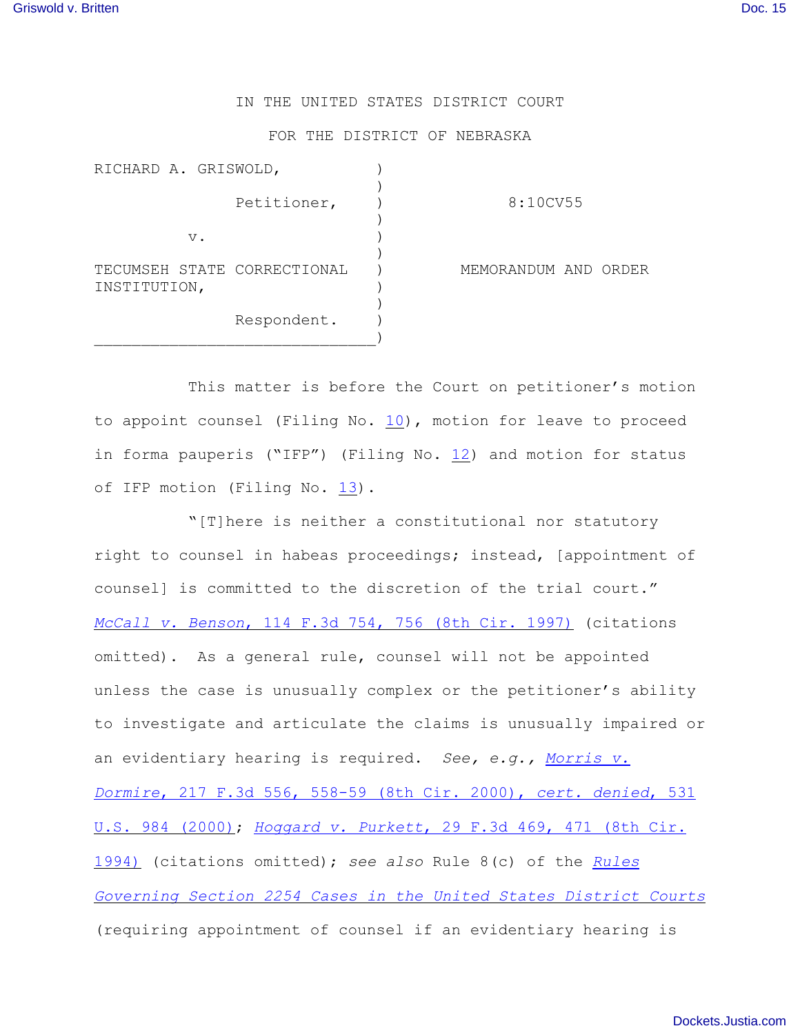## IN THE UNITED STATES DISTRICT COURT

## FOR THE DISTRICT OF NEBRASKA

| RICHARD A. GRISWOLD,                        |             |                      |  |
|---------------------------------------------|-------------|----------------------|--|
|                                             | Petitioner, | 8:10CV55             |  |
| $V$ .                                       |             |                      |  |
| TECUMSEH STATE CORRECTIONAL<br>INSTITUTION, |             | MEMORANDUM AND ORDER |  |
|                                             | Respondent. |                      |  |

This matter is before the Court on petitioner's motion to appoint counsel (Filing No. [10](http://ecf.ned.uscourts.gov/doc1/11301988504)), motion for leave to proceed in forma pauperis ("IFP") (Filing No. [12](http://ecf.ned.uscourts.gov/doc1/11301988515)) and motion for status of IFP motion (Filing No. [13](http://ecf.ned.uscourts.gov/doc1/11301994302)).

"[T]here is neither a constitutional nor statutory right to counsel in habeas proceedings; instead, [appointment of counsel] is committed to the discretion of the trial court." *McCall v. Benson*[, 114 F.3d 754, 756 \(8th Cir. 1997\)](http://www.westlaw.com/find/default.wl?rs=CLWP3.0&vr=2.0&cite=114+F.3d+754) (citations omitted). As a general rule, counsel will not be appointed unless the case is unusually complex or the petitioner's ability to investigate and articulate the claims is unusually impaired or an evidentiary hearing is required. *See, e.g., [Morris v.](http://www.westlaw.com/find/default.wl?rs=CLWP3.0&vr=2.0&cite=217+F.3d+556) Dormire*[, 217 F.3d 556, 558-59 \(8th Cir. 2000\),](http://www.westlaw.com/find/default.wl?rs=CLWP3.0&vr=2.0&cite=217+F.3d+556) *cert. denied*, 531 [U.S. 984 \(2000\)](http://www.westlaw.com/find/default.wl?rs=CLWP3.0&vr=2.0&cite=217+F.3d+556); *Hoggard v. Purkett*[, 29 F.3d 469, 471 \(8th Cir.](http://www.westlaw.com/find/default.wl?rs=CLWP3.0&vr=2.0&cite=29+F.3d+469) [1994\)](http://www.westlaw.com/find/default.wl?rs=CLWP3.0&vr=2.0&cite=29+F.3d+469) (citations omitted); *see also* Rule 8(c) of the *[Rules](http://web2.westlaw.com/find/default.wl?bhcp=1&cite=SECT+Section+2254&FN=%5Ftop&rs=CLWP3%2E0&ssl=y&strRecreate=no&sv=Split&vr=2%2E0) [Governing Section 2254 Cases in the United States District Courts](http://web2.westlaw.com/find/default.wl?bhcp=1&cite=SECT+Section+2254&FN=%5Ftop&rs=CLWP3%2E0&ssl=y&strRecreate=no&sv=Split&vr=2%2E0)* (requiring appointment of counsel if an evidentiary hearing is